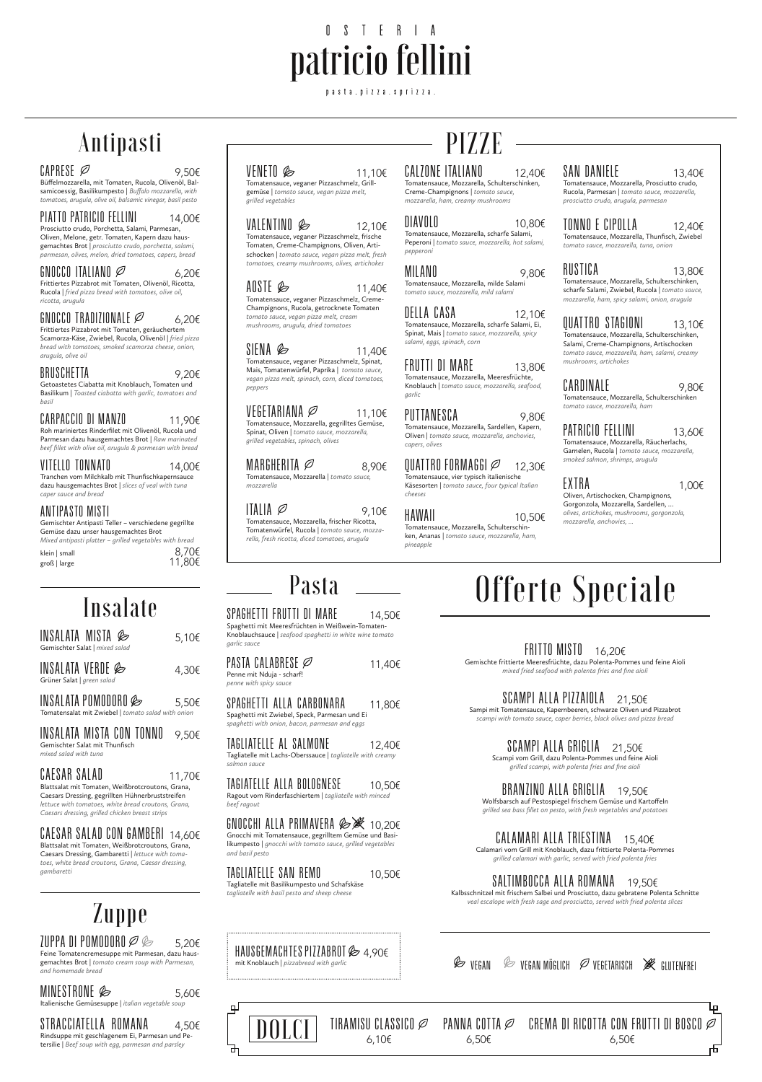# OSTERIA patricio fellini

pasta.pizza.sprizza.

# Antipasti

#### $\text{CAPRESE}$  9.50€

Büffelmozzarella, mit Tomaten, Rucola, Olivenöl, Balsamicoessig, Basilikumpesto | *Buffalo mozzarella, with tomatoes, arugula, olive oil, balsamic vinegar, basil pesto*

#### PIATTO PATRICIO FELLINI  $14.006$

Prosciutto crudo, Porchetta, Salami, Parmesan, Oliven, Melone, getr. Tomaten, Kapern dazu hausgemachtes Brot | *prosciutto crudo, porchetta, salami, parmesan, olives, melon, dried tomatoes, capers, bread*

#### GNOCCO ITALIANO  $\varnothing$  6,20€

Frittiertes Pizzabrot mit Tomaten, Olivenöl, Ricotta, Rucola | *fried pizza bread with tomatoes, olive oil, ricotta, arugula*

#### GNOCCO TRADIZIONALE  $\varnothing$  6,20€

Frittiertes Pizzabrot mit Tomaten, geräuchertem Scamorza-Käse, Zwiebel, Rucola, Olivenöl | *fried pizza bread with tomatoes, smoked scamorza cheese, onion, arugula, olive oil*

### BRUSCHETTA  $9,20 \in$

 $INSALATA$  POMODORO  $\otimes$  5,50€ Tomatensalat mit Zwiebel | *tomato salad with onion*

INSALATA MISTA CON TONNO  $\rightarrow$ ,50€

Getoastetes Ciabatta mit Knoblauch, Tomaten und Basilikum | *Toasted ciabatta with garlic, tomatoes and basil*

### CARPACCIO DI MAN*L*O 11,90€

CAESAR SALAD  $11,70 \in$ Blattsalat mit Tomaten, Weißbrotcroutons, Grana, Caesars Dressing, gegrillten Hühnerbruststreifen *lettuce with tomatoes, white bread croutons, Grana, Caesars dressing, grilled chicken breast strips*

Roh mariniertes Rinderfilet mit Olivenöl, Rucola und Parmesan dazu hausgemachtes Brot | *Raw marinated beef fillet with olive oil, arugula & parmesan with bread*

### $VIIELLU IUNNAIU$  14,00€

 $\mathcal{I}$ uppa di pomodoro  $\varnothing \otimes \_\_\_5,$ 20 $\epsilon$ Feine Tomatencremesuppe mit Parmesan, dazu hausgemachtes Brot | *tomato cream soup with Parmesan, and homemade bread*

Tranchen vom Milchkalb mit Thunfischkapernsauce dazu hausgemachtes Brot | *slices of veal with tuna caper sauce and bread*

#### ANTIPASTO MISTI

Gemischter Antipasti Teller – verschiedene gegrillte Gemüse dazu unser hausgemachtes Brot *Mixed antipasti platter – grilled vegetables with bread*

| <i>IVIIACU UIILIPUSLI PIULLUI</i> | <i>Grinda vegetables with bread</i> |        |
|-----------------------------------|-------------------------------------|--------|
| klein   small                     |                                     | 8,70€  |
| groß   large                      |                                     | 11,80€ |

Insalate

 $INSALATA$  MISTA  $\otimes$  5,10€

INSALATA VERDE  $\&$  4,30€

Gemischter Salat | *mixed salad*

Grüner Salat | *green salad*

### $VENETO \otimes 11.106$

#### VEGETARIANA  $\varnothing$  11,10€ Tomatensauce, Mozzarella, gegrilltes Gemüse, Spinat, Oliven | *tomato sauce, mozzarella,*

Gemischter Salat mit Thunfisch *mixed salad with tuna*



Blattsalat mit Tomaten, Weißbrotcroutons, Grana, Caesars Dressing, Gambaretti | *lettuce with tomatoes, white bread croutons, Grana, Caesar dressing, gambaretti*

Zuppe

## MINESTRONE 5,60€

Italienische Gemüsesuppe | *italian vegetable soup*

### STRACCIATELLA ROMANA  $4.506$

Rindsuppe mit geschlagenem Ei, Parmesan und Petersilie | *Beef soup with egg, parmesan and parsley*

# PIZZE

#### CALZONE ITALIANO  $12,40 \in$

Tomatensauce, veganer Pizzaschmelz, Grillgemüse | *tomato sauce, vegan pizza melt, grilled vegetables*

# $VALENIINU \n\qquadotimes$  12,10€

Tomatensauce, veganer Pizzaschmelz, frische Tomaten, Creme-Champignons, Oliven, Artischocken | *tomato sauce, vegan pizza melt, fresh tomatoes, creamy mushrooms, olives, artichokes*

### AUSIE  $\otimes$  11,40€

Tomatensauce, veganer Pizzaschmelz, Creme-Champignons, Rucola, getrocknete Tomaten *tomato sauce, vegan pizza melt, cream mushrooms, arugula, dried tomatoes*

#### SIENA  $\otimes$  11,40€

TAGLIATELLE AL SALMONE  $12.406$ *salmon sauce*

 $\overline{1}$ AGIATELLE ALLA BOLOGNESE  $\qquad \quad 10.506$ *beef ragout*

Tomatensauce, veganer Pizzaschmelz, Spinat, Mais, Tomatenwürfel, Paprika | *tomato sauce, vegan pizza melt, spinach, corn, diced tomatoes, peppers*

TAGLIATELLE SAN REMO $10,50 \in$ Tagliatelle mit Basilikumpesto und Schafskäse *tagliatelle with basil pesto and sheep cheese*

*grilled vegetables, spinach, olives*

# MARGHERITA  $\varnothing$  8,90€

Tomatensauce, Mozzarella | *tomato sauce, mozzarella*

#### IIALIA  $\varnothing$  9,10€

Tomatensauce, Mozzarella, frischer Ricotta, Tomatenwürfel, Rucola | *tomato sauce, mozzarella, fresh ricotta, diced tomatoes, arugula*

SALTIMBOCCA ALLA ROMANA  $\rightarrow$  19,50€ Kalbsschnitzel mit frischem Salbei und Prosciutto, dazu gebratene Polenta Schnitte

Tomatensauce, Mozzarella, Schulterschinken, Creme-Champignons | *tomato sauce, mozzarella, ham, creamy mushrooms*

#### $DIAVOLO$  10,80 $\in$

HAUSGEMACHTES PIZZABROT  $\gg$  4,90€ mit Knoblauch | *pizzabread with garlic*

### $\mathscr{\mathscr{L}}$  vegan vegan möglich  $\mathscr{\mathscr{L}}$  vegetarisch  $\mathscr{\mathscr{L}}$  glutenfrei

Tomatensauce, Mozzarella, scharfe Salami, Peperoni | *tomato sauce, mozzarella, hot salami, pepperoni*

#### MILANU 9,80€

Tomatensauce, Mozzarella, milde Salami *tomato sauce, mozzarella, mild salami*

#### DELLA CASA 12,10€

Tomatensauce, Mozzarella, scharfe Salami, Ei, Spinat, Mais | *tomato sauce, mozzarella, spicy salami, eggs, spinach, corn*

### FRUTTI DI MARE 13,80€

Tomatensauce, Mozzarella, Meeresfrüchte, Knoblauch | *tomato sauce, mozzarella, seafood, garlic*

#### PUTTANESCA 9,80€

Tomatensauce, Mozzarella, Sardellen, Kapern, Oliven | *tomato sauce, mozzarella, anchovies, capers, olives*

#### QUATTRO FORMAGGI $\varnothing$  12,30€

Tomatensauce, vier typisch italienische Käsesorten | *tomato sauce, four typical Italian cheeses*

#### $HAWAll$  10,50 $\epsilon$

Tomatensauce, Mozzarella, Schulterschinken, Ananas | *tomato sauce, mozzarella, ham, pineapple*

# SAN DANIELE  $13.406$

#### Tomatensauce, Mozzarella, Prosciutto crudo, Rucola, Parmesan | *tomato sauce, mozzarella, prosciutto crudo, arugula, parmesan*

# $IUNNU E CIPULLA$  12,40 $\epsilon$

Tomatensauce, Mozzarella, Thunfisch, Zwiebel *tomato sauce, mozzarella, tuna, onion*

#### RUSTICA 13,80€ Tomatensauce, Mozzarella, Schulterschinken,

scharfe Salami, Zwiebel, Rucola | *tomato sauce, mozzarella, ham, spicy salami, onion, arugula*

# $QUATIRO$  STAGIONI  $13,10 \in$

Tomatensauce, Mozzarella, Schulterschinken, Salami, Creme-Champignons, Artischocken *tomato sauce, mozzarella, ham, salami, creamy mushrooms, artichokes*

# CARDINALE 9,80€

Tomatensauce, Mozzarella, Schulterschinken *tomato sauce, mozzarella, ham*

# PATRICIO FELLINI 13,60€

Tomatensauce, Mozzarella, Räucherlachs, Garnelen, Rucola | *tomato sauce, mozzarella, smoked salmon, shrimps, arugula*

# EXTRA 1,00€

Oliven, Artischocken, Champignons, Gorgonzola, Mozzarella, Sardellen, … *olives, artichokes, mushrooms, gorgonzola, mozzarella, anchovies, ...*

# Pasta — Offerte Speciale

SPAGHETTI FRUTTI DI MARE 14,50€

Spaghetti mit Meeresfrüchten in Weißwein-Tomaten-Knoblauchsauce | *seafood spaghetti in white wine tomato garlic sauce*

# PASTA CALABRESE  $\varnothing$  11,40€

Penne mit Nduja - scharf!

*penne with spicy sauce*

#### SPAGHETTI ALLA CARBONARA 11,80€ Spaghetti mit Zwiebel, Speck, Parmesan und Ei

*spaghetti with onion, bacon, parmesan and eggs*

Tagliatelle mit Lachs-Oberssauce | *tagliatelle with creamy* 

# Ragout vom Rinderfaschiertem | *tagliatelle with minced*

GNOCCHI ALLA PRIMAVERA *© №* 10,20€

Gnocchi mit Tomatensauce, gegrilltem Gemüse und Basilikumpesto | *gnocchi with tomato sauce, grilled vegetables and basil pesto*

# FRITTO MISTO 16,20€

Gemischte frittierte Meeresfrüchte, dazu Polenta-Pommes und feine Aioli *mixed fried seafood with polenta fries and fine aioli*

# SCAMPI ALLA PIZZAIOLA 21,50€

Sampi mit Tomatensauce, Kapernbeeren, schwarze Oliven und Pizzabrot *scampi with tomato sauce, caper berries, black olives and pizza bread*

# SCAMPI ALLA GRIGLIA 21,50€

Scampi vom Grill, dazu Polenta-Pommes und feine Aioli *grilled scampi, with polenta fries and fine aioli*

# BRANZINO ALLA GRIGLIA 19,50€

Wolfsbarsch auf Pestospiegel frischem Gemüse und Kartoffeln *grilled sea bass fillet on pesto, with fresh vegetables and potatoes*

CALAMARI ALLA TRIESTINA 15,40€

Calamari vom Grill mit Knoblauch, dazu frittierte Polenta-Pommes *grilled calamari with garlic, served with fried polenta fries*

*veal escalope with fresh sage and prosciutto, served with fried polenta slices*